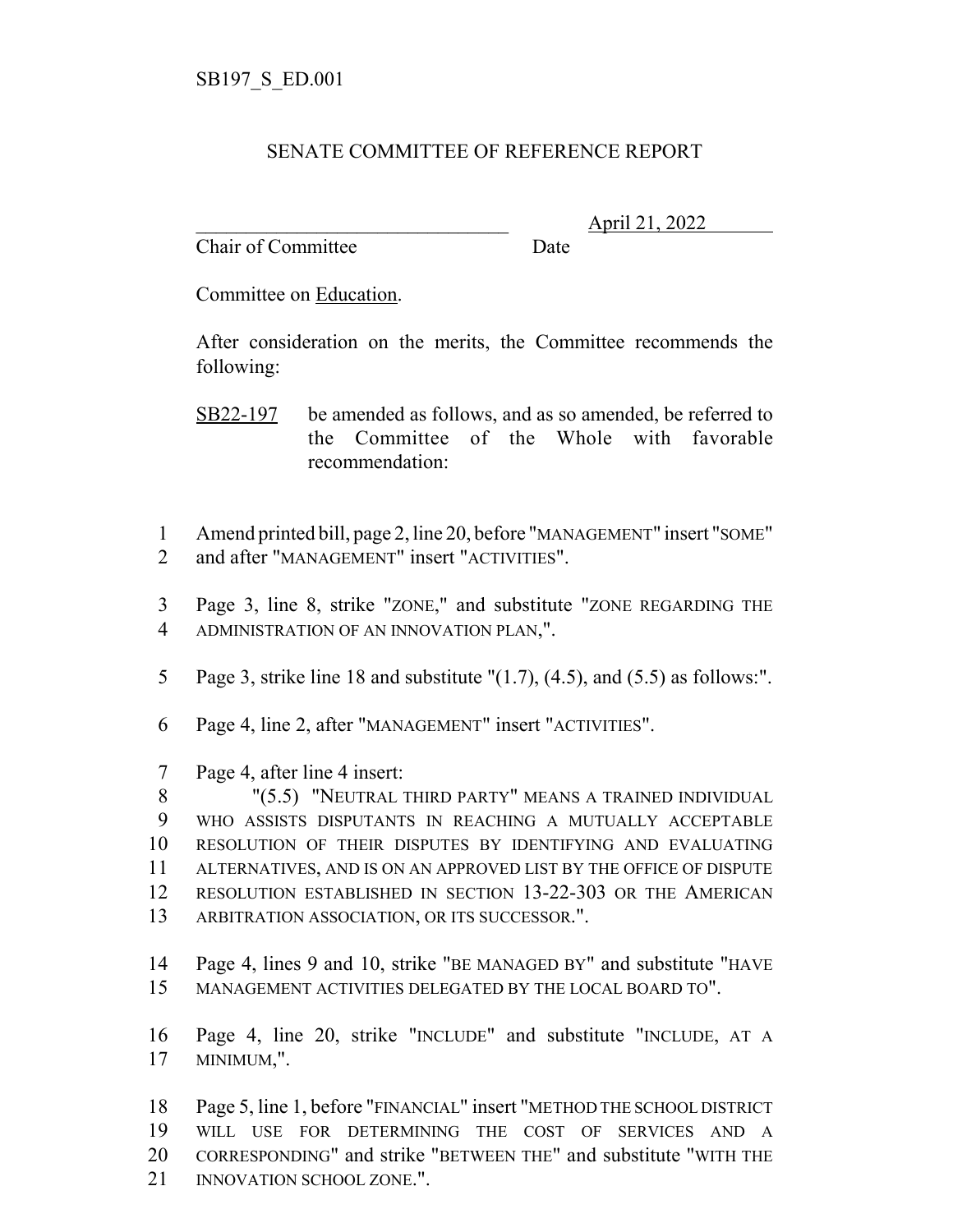## SENATE COMMITTEE OF REFERENCE REPORT

Chair of Committee Date

\_\_\_\_\_\_\_\_\_\_\_\_\_\_\_\_\_\_\_\_\_\_\_\_\_\_\_\_\_\_\_ April 21, 2022

Committee on Education.

After consideration on the merits, the Committee recommends the following:

- SB22-197 be amended as follows, and as so amended, be referred to the Committee of the Whole with favorable recommendation:
- Amend printed bill, page 2, line 20, before "MANAGEMENT" insert "SOME" and after "MANAGEMENT" insert "ACTIVITIES".
- Page 3, line 8, strike "ZONE," and substitute "ZONE REGARDING THE ADMINISTRATION OF AN INNOVATION PLAN,".
- Page 3, strike line 18 and substitute "(1.7), (4.5), and (5.5) as follows:".
- Page 4, line 2, after "MANAGEMENT" insert "ACTIVITIES".
- Page 4, after line 4 insert:

 "(5.5) "NEUTRAL THIRD PARTY" MEANS A TRAINED INDIVIDUAL WHO ASSISTS DISPUTANTS IN REACHING A MUTUALLY ACCEPTABLE RESOLUTION OF THEIR DISPUTES BY IDENTIFYING AND EVALUATING ALTERNATIVES, AND IS ON AN APPROVED LIST BY THE OFFICE OF DISPUTE RESOLUTION ESTABLISHED IN SECTION 13-22-303 OR THE AMERICAN ARBITRATION ASSOCIATION, OR ITS SUCCESSOR.".

- Page 4, lines 9 and 10, strike "BE MANAGED BY" and substitute "HAVE MANAGEMENT ACTIVITIES DELEGATED BY THE LOCAL BOARD TO".
- Page 4, line 20, strike "INCLUDE" and substitute "INCLUDE, AT A MINIMUM,".

 Page 5, line 1, before "FINANCIAL" insert "METHOD THE SCHOOL DISTRICT WILL USE FOR DETERMINING THE COST OF SERVICES AND A CORRESPONDING" and strike "BETWEEN THE" and substitute "WITH THE 21 INNOVATION SCHOOL ZONE.".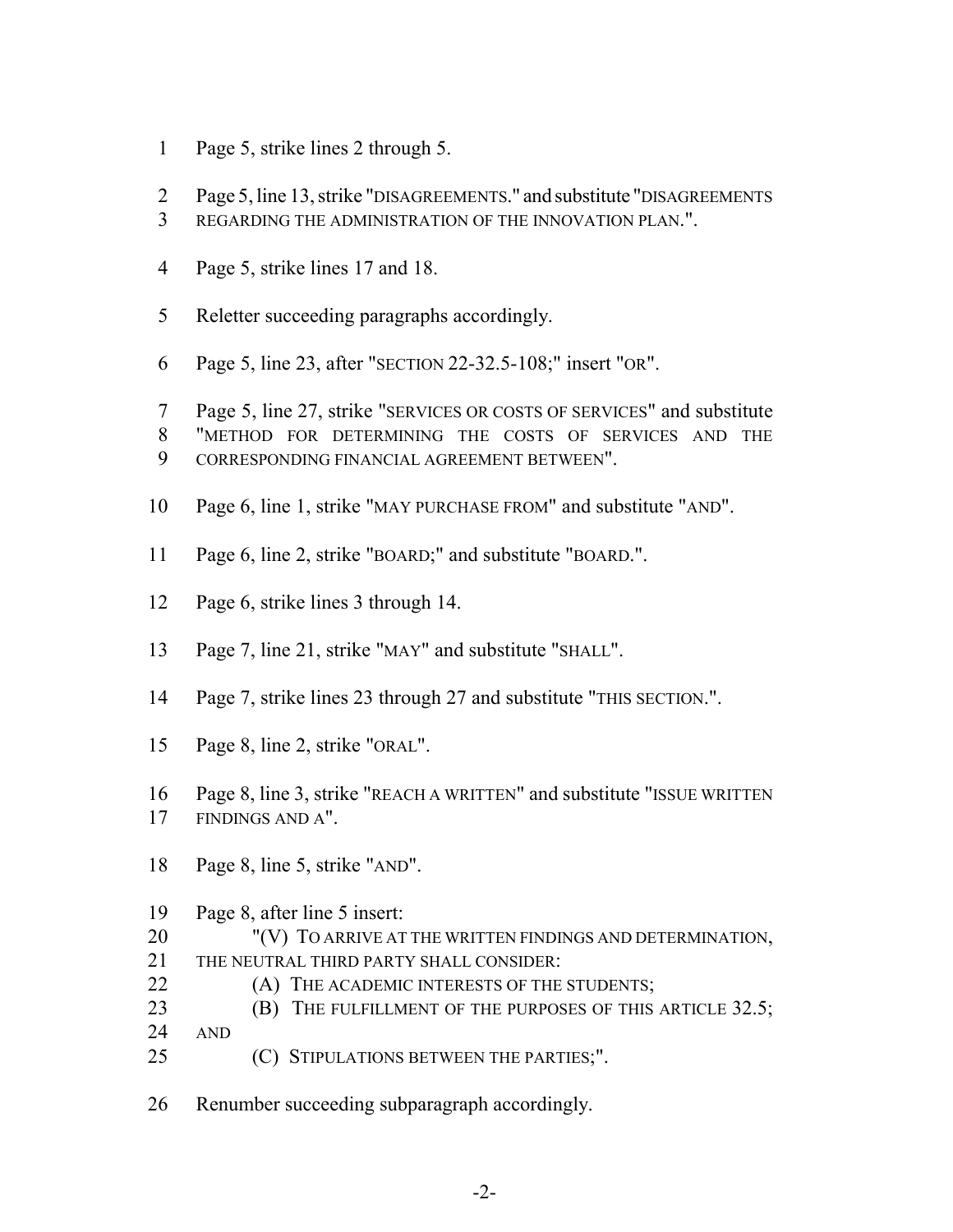- Page 5, strike lines 2 through 5.
- Page 5, line 13, strike "DISAGREEMENTS." and substitute "DISAGREEMENTS
- REGARDING THE ADMINISTRATION OF THE INNOVATION PLAN.".
- Page 5, strike lines 17 and 18.
- Reletter succeeding paragraphs accordingly.
- Page 5, line 23, after "SECTION 22-32.5-108;" insert "OR".

 Page 5, line 27, strike "SERVICES OR COSTS OF SERVICES" and substitute "METHOD FOR DETERMINING THE COSTS OF SERVICES AND THE

- CORRESPONDING FINANCIAL AGREEMENT BETWEEN".
- Page 6, line 1, strike "MAY PURCHASE FROM" and substitute "AND".
- Page 6, line 2, strike "BOARD;" and substitute "BOARD.".
- Page 6, strike lines 3 through 14.
- Page 7, line 21, strike "MAY" and substitute "SHALL".
- Page 7, strike lines 23 through 27 and substitute "THIS SECTION.".
- Page 8, line 2, strike "ORAL".
- Page 8, line 3, strike "REACH A WRITTEN" and substitute "ISSUE WRITTEN FINDINGS AND A".
- Page 8, line 5, strike "AND".
- Page 8, after line 5 insert:
- 20 "(V) TO ARRIVE AT THE WRITTEN FINDINGS AND DETERMINATION, THE NEUTRAL THIRD PARTY SHALL CONSIDER:
- **(A) THE ACADEMIC INTERESTS OF THE STUDENTS;**
- **(B)** THE FULFILLMENT OF THE PURPOSES OF THIS ARTICLE 32.5;
- AND
- 25 (C) STIPULATIONS BETWEEN THE PARTIES;".
- Renumber succeeding subparagraph accordingly.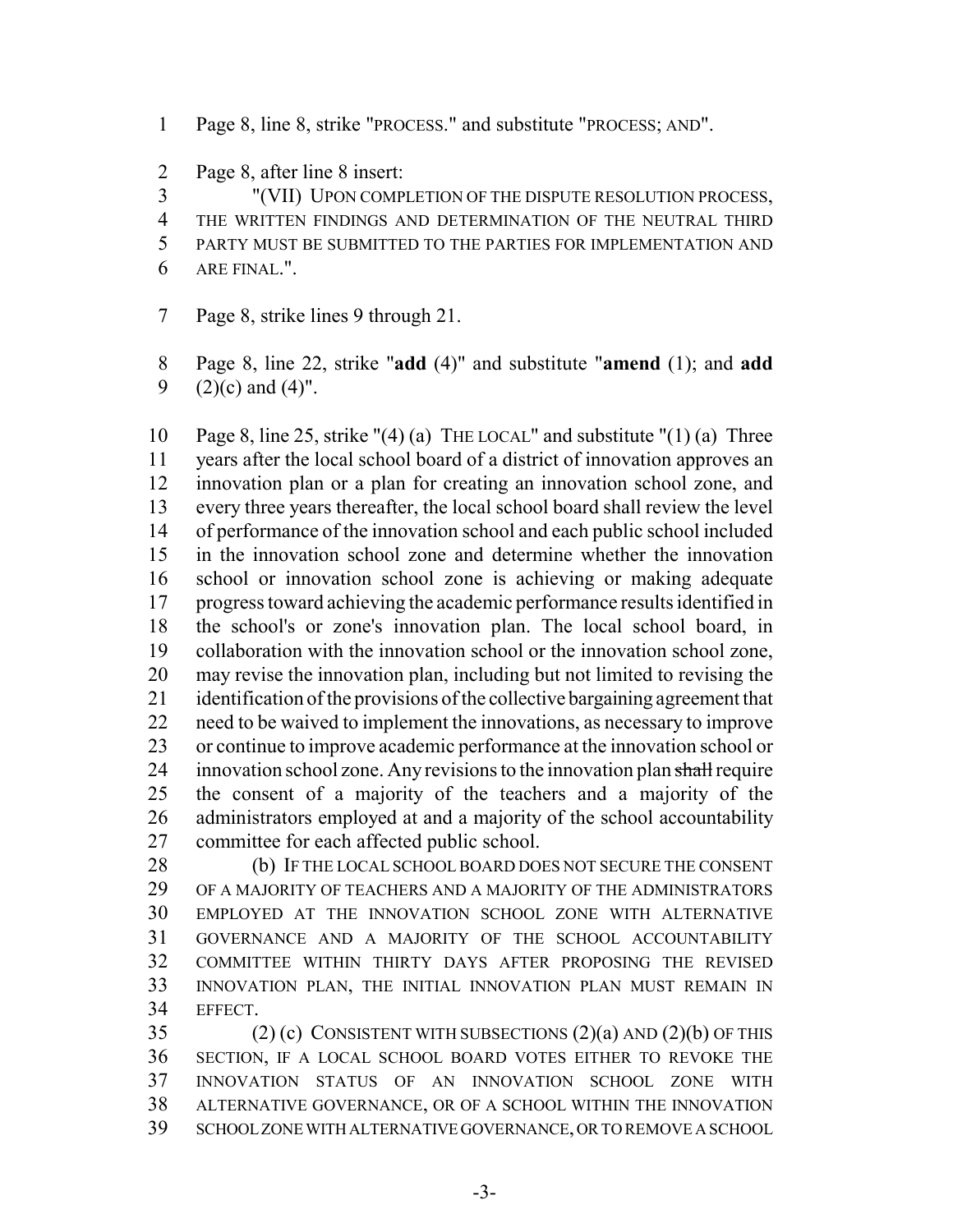- Page 8, line 8, strike "PROCESS." and substitute "PROCESS; AND".
- Page 8, after line 8 insert:

"(VII) UPON COMPLETION OF THE DISPUTE RESOLUTION PROCESS,

THE WRITTEN FINDINGS AND DETERMINATION OF THE NEUTRAL THIRD

- PARTY MUST BE SUBMITTED TO THE PARTIES FOR IMPLEMENTATION AND
- ARE FINAL.".
- Page 8, strike lines 9 through 21.

 Page 8, line 22, strike "**add** (4)" and substitute "**amend** (1); and **add** 9  $(2)(c)$  and  $(4)$ ".

 Page 8, line 25, strike "(4) (a) THE LOCAL" and substitute "(1) (a) Three years after the local school board of a district of innovation approves an innovation plan or a plan for creating an innovation school zone, and every three years thereafter, the local school board shall review the level of performance of the innovation school and each public school included in the innovation school zone and determine whether the innovation school or innovation school zone is achieving or making adequate progress toward achieving the academic performance results identified in the school's or zone's innovation plan. The local school board, in collaboration with the innovation school or the innovation school zone, may revise the innovation plan, including but not limited to revising the identification of the provisions of the collective bargaining agreement that need to be waived to implement the innovations, as necessary to improve or continue to improve academic performance at the innovation school or 24 innovation school zone. Any revisions to the innovation plan shall require the consent of a majority of the teachers and a majority of the administrators employed at and a majority of the school accountability committee for each affected public school.

28 (b) IF THE LOCAL SCHOOL BOARD DOES NOT SECURE THE CONSENT OF A MAJORITY OF TEACHERS AND A MAJORITY OF THE ADMINISTRATORS EMPLOYED AT THE INNOVATION SCHOOL ZONE WITH ALTERNATIVE GOVERNANCE AND A MAJORITY OF THE SCHOOL ACCOUNTABILITY COMMITTEE WITHIN THIRTY DAYS AFTER PROPOSING THE REVISED INNOVATION PLAN, THE INITIAL INNOVATION PLAN MUST REMAIN IN EFFECT.

 (2) (c) CONSISTENT WITH SUBSECTIONS (2)(a) AND (2)(b) OF THIS SECTION, IF A LOCAL SCHOOL BOARD VOTES EITHER TO REVOKE THE INNOVATION STATUS OF AN INNOVATION SCHOOL ZONE WITH ALTERNATIVE GOVERNANCE, OR OF A SCHOOL WITHIN THE INNOVATION SCHOOL ZONE WITH ALTERNATIVE GOVERNANCE, OR TO REMOVE A SCHOOL